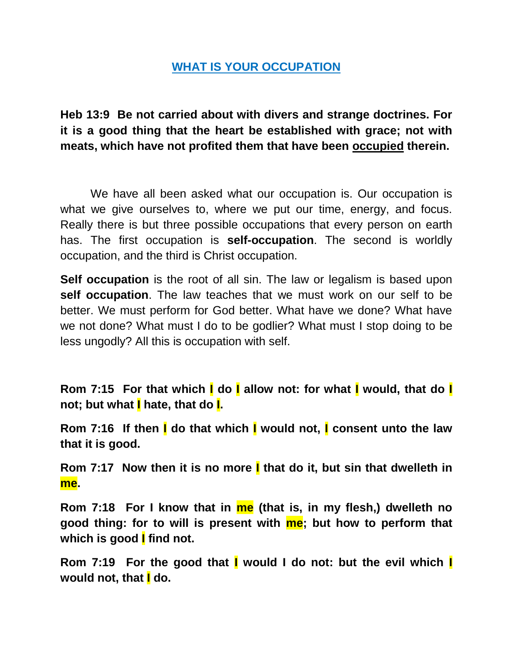## **WHAT IS YOUR OCCUPATION**

**Heb 13:9 Be not carried about with divers and strange doctrines. For it is a good thing that the heart be established with grace; not with meats, which have not profited them that have been occupied therein.** 

We have all been asked what our occupation is. Our occupation is what we give ourselves to, where we put our time, energy, and focus. Really there is but three possible occupations that every person on earth has. The first occupation is **self-occupation**. The second is worldly occupation, and the third is Christ occupation.

**Self occupation** is the root of all sin. The law or legalism is based upon **self occupation**. The law teaches that we must work on our self to be better. We must perform for God better. What have we done? What have we not done? What must I do to be godlier? What must I stop doing to be less ungodly? All this is occupation with self.

**Rom 7:15 For that which I do I allow not: for what I would, that do I not; but what I hate, that do I.** 

**Rom 7:16 If then I do that which I would not, I consent unto the law that it is good.** 

**Rom 7:17 Now then it is no more I that do it, but sin that dwelleth in me.** 

**Rom 7:18 For I know that in me (that is, in my flesh,) dwelleth no good thing: for to will is present with me; but how to perform that which is good I find not.** 

**Rom 7:19 For the good that I would I do not: but the evil which I would not, that I do.**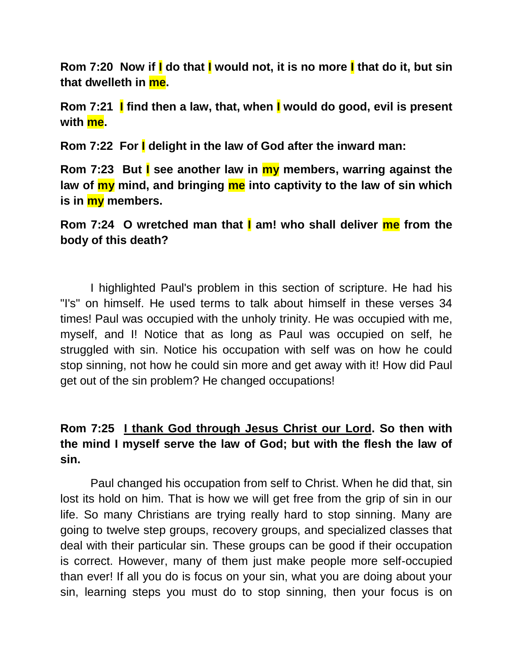**Rom 7:20 Now if I do that I would not, it is no more I that do it, but sin that dwelleth in me.** 

**Rom 7:21 I find then a law, that, when I would do good, evil is present with me.** 

**Rom 7:22 For I delight in the law of God after the inward man:** 

**Rom 7:23 But I see another law in my members, warring against the law of my mind, and bringing me into captivity to the law of sin which is in my members.** 

**Rom 7:24 O wretched man that I am! who shall deliver me from the body of this death?** 

I highlighted Paul's problem in this section of scripture. He had his "I's" on himself. He used terms to talk about himself in these verses 34 times! Paul was occupied with the unholy trinity. He was occupied with me, myself, and I! Notice that as long as Paul was occupied on self, he struggled with sin. Notice his occupation with self was on how he could stop sinning, not how he could sin more and get away with it! How did Paul get out of the sin problem? He changed occupations!

## **Rom 7:25 I thank God through Jesus Christ our Lord. So then with the mind I myself serve the law of God; but with the flesh the law of sin.**

Paul changed his occupation from self to Christ. When he did that, sin lost its hold on him. That is how we will get free from the grip of sin in our life. So many Christians are trying really hard to stop sinning. Many are going to twelve step groups, recovery groups, and specialized classes that deal with their particular sin. These groups can be good if their occupation is correct. However, many of them just make people more self-occupied than ever! If all you do is focus on your sin, what you are doing about your sin, learning steps you must do to stop sinning, then your focus is on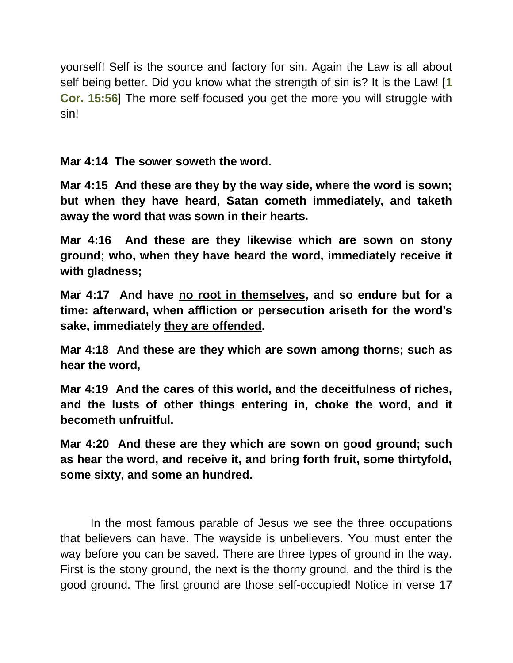yourself! Self is the source and factory for sin. Again the Law is all about self being better. Did you know what the strength of sin is? It is the Law! [**1 Cor. 15:56**] The more self-focused you get the more you will struggle with sin!

**Mar 4:14 The sower soweth the word.** 

**Mar 4:15 And these are they by the way side, where the word is sown; but when they have heard, Satan cometh immediately, and taketh away the word that was sown in their hearts.** 

**Mar 4:16 And these are they likewise which are sown on stony ground; who, when they have heard the word, immediately receive it with gladness;** 

**Mar 4:17 And have no root in themselves, and so endure but for a time: afterward, when affliction or persecution ariseth for the word's sake, immediately they are offended.** 

**Mar 4:18 And these are they which are sown among thorns; such as hear the word,** 

**Mar 4:19 And the cares of this world, and the deceitfulness of riches, and the lusts of other things entering in, choke the word, and it becometh unfruitful.** 

**Mar 4:20 And these are they which are sown on good ground; such as hear the word, and receive it, and bring forth fruit, some thirtyfold, some sixty, and some an hundred.** 

In the most famous parable of Jesus we see the three occupations that believers can have. The wayside is unbelievers. You must enter the way before you can be saved. There are three types of ground in the way. First is the stony ground, the next is the thorny ground, and the third is the good ground. The first ground are those self-occupied! Notice in verse 17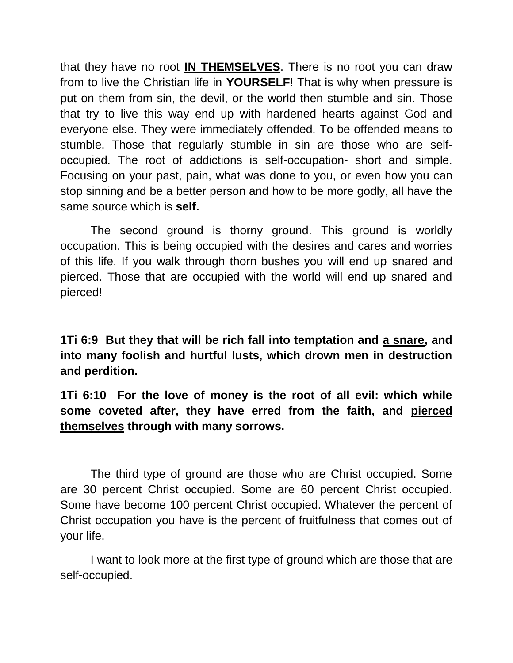that they have no root **IN THEMSELVES**. There is no root you can draw from to live the Christian life in **YOURSELF**! That is why when pressure is put on them from sin, the devil, or the world then stumble and sin. Those that try to live this way end up with hardened hearts against God and everyone else. They were immediately offended. To be offended means to stumble. Those that regularly stumble in sin are those who are selfoccupied. The root of addictions is self-occupation- short and simple. Focusing on your past, pain, what was done to you, or even how you can stop sinning and be a better person and how to be more godly, all have the same source which is **self.**

The second ground is thorny ground. This ground is worldly occupation. This is being occupied with the desires and cares and worries of this life. If you walk through thorn bushes you will end up snared and pierced. Those that are occupied with the world will end up snared and pierced!

**1Ti 6:9 But they that will be rich fall into temptation and a snare, and into many foolish and hurtful lusts, which drown men in destruction and perdition.** 

**1Ti 6:10 For the love of money is the root of all evil: which while some coveted after, they have erred from the faith, and pierced themselves through with many sorrows.**

The third type of ground are those who are Christ occupied. Some are 30 percent Christ occupied. Some are 60 percent Christ occupied. Some have become 100 percent Christ occupied. Whatever the percent of Christ occupation you have is the percent of fruitfulness that comes out of your life.

I want to look more at the first type of ground which are those that are self-occupied.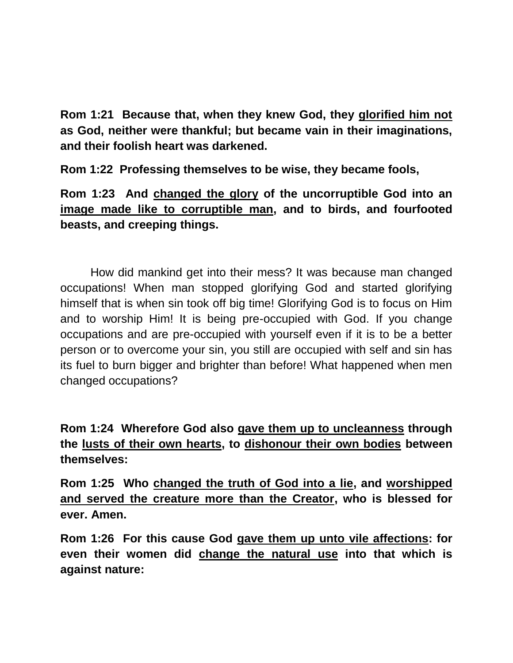**Rom 1:21 Because that, when they knew God, they glorified him not as God, neither were thankful; but became vain in their imaginations, and their foolish heart was darkened.** 

**Rom 1:22 Professing themselves to be wise, they became fools,** 

**Rom 1:23 And changed the glory of the uncorruptible God into an image made like to corruptible man, and to birds, and fourfooted beasts, and creeping things.** 

How did mankind get into their mess? It was because man changed occupations! When man stopped glorifying God and started glorifying himself that is when sin took off big time! Glorifying God is to focus on Him and to worship Him! It is being pre-occupied with God. If you change occupations and are pre-occupied with yourself even if it is to be a better person or to overcome your sin, you still are occupied with self and sin has its fuel to burn bigger and brighter than before! What happened when men changed occupations?

**Rom 1:24 Wherefore God also gave them up to uncleanness through the lusts of their own hearts, to dishonour their own bodies between themselves:** 

**Rom 1:25 Who changed the truth of God into a lie, and worshipped and served the creature more than the Creator, who is blessed for ever. Amen.** 

**Rom 1:26 For this cause God gave them up unto vile affections: for even their women did change the natural use into that which is against nature:**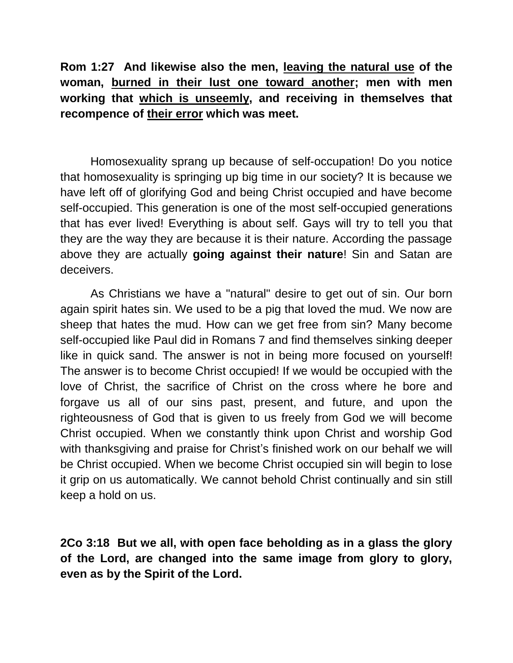**Rom 1:27 And likewise also the men, leaving the natural use of the woman, burned in their lust one toward another; men with men working that which is unseemly, and receiving in themselves that recompence of their error which was meet.**

Homosexuality sprang up because of self-occupation! Do you notice that homosexuality is springing up big time in our society? It is because we have left off of glorifying God and being Christ occupied and have become self-occupied. This generation is one of the most self-occupied generations that has ever lived! Everything is about self. Gays will try to tell you that they are the way they are because it is their nature. According the passage above they are actually **going against their nature**! Sin and Satan are deceivers.

As Christians we have a "natural" desire to get out of sin. Our born again spirit hates sin. We used to be a pig that loved the mud. We now are sheep that hates the mud. How can we get free from sin? Many become self-occupied like Paul did in Romans 7 and find themselves sinking deeper like in quick sand. The answer is not in being more focused on yourself! The answer is to become Christ occupied! If we would be occupied with the love of Christ, the sacrifice of Christ on the cross where he bore and forgave us all of our sins past, present, and future, and upon the righteousness of God that is given to us freely from God we will become Christ occupied. When we constantly think upon Christ and worship God with thanksgiving and praise for Christ's finished work on our behalf we will be Christ occupied. When we become Christ occupied sin will begin to lose it grip on us automatically. We cannot behold Christ continually and sin still keep a hold on us.

**2Co 3:18 But we all, with open face beholding as in a glass the glory of the Lord, are changed into the same image from glory to glory, even as by the Spirit of the Lord.**